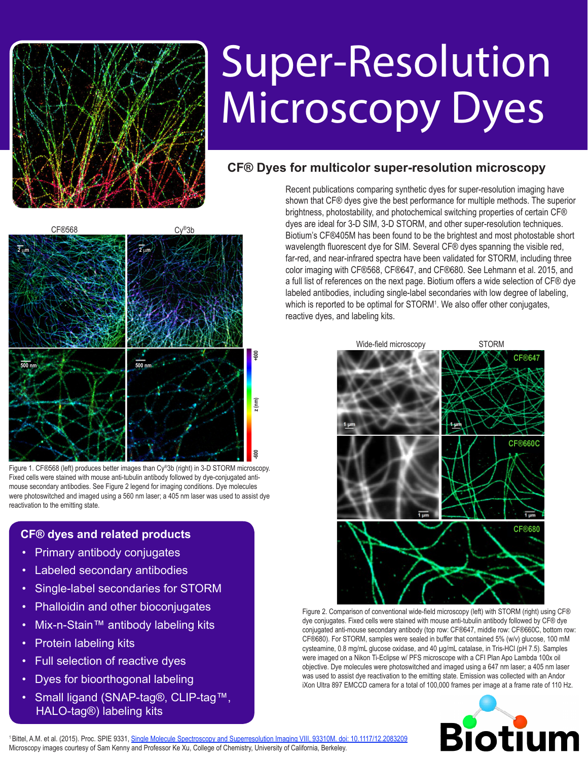

## Super-Resolution Microscopy Dyes

## **CF® Dyes for multicolor super-resolution microscopy**



Figure 1. CF®568 (left) produces better images than Cy®3b (right) in 3-D STORM microscopy. Fixed cells were stained with mouse anti-tubulin antibody followed by dye-conjugated antimouse secondary antibodies. See Figure 2 legend for imaging conditions. Dye molecules were photoswitched and imaged using a 560 nm laser; a 405 nm laser was used to assist dye reactivation to the emitting state.

## **CF® dyes and related products**

- **Primary antibody conjugates**
- **Labeled secondary antibodies**
- Single-label secondaries for STORM
- **Phalloidin and other bioconjugates**
- Mix-n-Stain™ antibody labeling kits
- **Protein labeling kits**
- **Full selection of reactive dyes**
- Dyes for bioorthogonal labeling
- Small ligand (SNAP-tag®, CLIP-tag™, HALO-tag®) labeling kits

Recent publications comparing synthetic dyes for super-resolution imaging have shown that CF® dyes give the best performance for multiple methods. The superior brightness, photostability, and photochemical switching properties of certain CF® dyes are ideal for 3-D SIM, 3-D STORM, and other super-resolution techniques. Biotium's CF®405M has been found to be the brightest and most photostable short wavelength fluorescent dye for SIM. Several CF® dyes spanning the visible red, far-red, and near-infrared spectra have been validated for STORM, including three color imaging with CF®568, CF®647, and CF®680. See [Lehmann et al. 2015,](http://onlinelibrary.wiley.com/enhanced/doi/10.1002/jbio.201500119/) and a full list of references on the next page. Biotium offers a wide selection of CF® dye labeled antibodies, including single-label secondaries with low degree of labeling, which is reported to be optimal for STORM<sup>1</sup>. We also offer other conjugates, reactive dyes, and labeling kits.



Figure 2. Comparison of conventional wide-field microscopy (left) with STORM (right) using CF® dye conjugates. Fixed cells were stained with mouse anti-tubulin antibody followed by CF® dye conjugated anti-mouse secondary antibody (top row: CF®647, middle row: CF®660C, bottom row: CF®680). For STORM, samples were sealed in buffer that contained 5% (w/v) glucose, 100 mM cysteamine, 0.8 mg/mL glucose oxidase, and 40 µg/mL catalase, in Tris-HCl (pH 7.5). Samples were imaged on a Nikon Ti-Eclipse w/ PFS microscope with a CFI Plan Apo Lambda 100x oil objective. Dye molecules were photoswitched and imaged using a 647 nm laser; a 405 nm laser was used to assist dye reactivation to the emitting state. Emission was collected with an Andor iXon Ultra 897 EMCCD camera for a total of 100,000 frames per image at a frame rate of 110 Hz.



<sup>1</sup>Bittel, A.M. et al. (2015). Proc. SPIE 9331, [Single Molecule Spectroscopy and Superresolution Imaging VIII, 93310M. doi: 10.1117/12.2083209](https://www.spiedigitallibrary.org/conference-proceedings-of-spie/9331/1/Effect-of-labeling-density-and-time-post-labeling-on-quality/10.1117/12.2083209.pdf%3FSSO%3D1) Microscopy images courtesy of Sam Kenny and Professor Ke Xu, College of Chemistry, University of California, Berkeley.